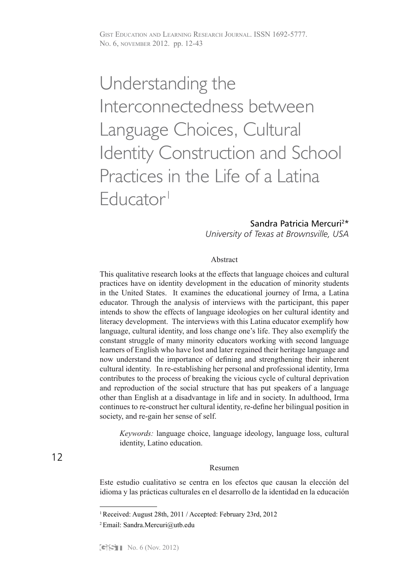# Understanding the Interconnectedness between Language Choices, Cultural Identity Construction and School Practices in the Life of a Latina Educator1

## Sandra Patricia Mercuri2\*

*University of Texas at Brownsville, USA*

#### Abstract

This qualitative research looks at the effects that language choices and cultural practices have on identity development in the education of minority students in the United States. It examines the educational journey of Irma, a Latina educator. Through the analysis of interviews with the participant, this paper intends to show the effects of language ideologies on her cultural identity and literacy development. The interviews with this Latina educator exemplify how language, cultural identity, and loss change one's life. They also exemplify the constant struggle of many minority educators working with second language learners of English who have lost and later regained their heritage language and now understand the importance of defining and strengthening their inherent cultural identity. In re-establishing her personal and professional identity, Irma contributes to the process of breaking the vicious cycle of cultural deprivation and reproduction of the social structure that has put speakers of a language other than English at a disadvantage in life and in society. In adulthood, Irma continues to re-construct her cultural identity, re-define her bilingual position in society, and re-gain her sense of self.

*Keywords:* language choice, language ideology, language loss, cultural identity, Latino education.

#### Resumen

Este estudio cualitativo se centra en los efectos que causan la elección del idioma y las prácticas culturales en el desarrollo de la identidad en la educación

<sup>1</sup>Received: August 28th, 2011 / Accepted: February 23rd, 2012

<sup>2</sup> Email: Sandra.Mercuri@utb.edu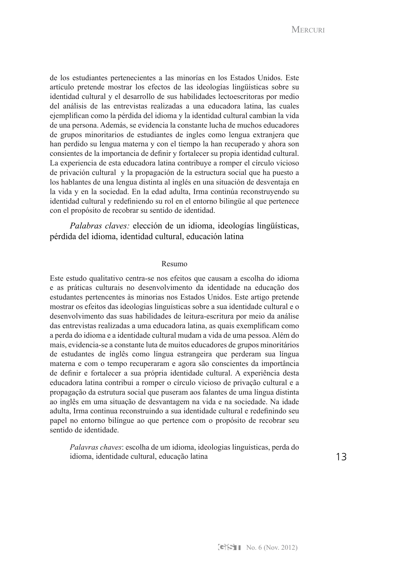MERCURI NERCURI

de los estudiantes pertenecientes a las minorías en los Estados Unidos. Este artículo pretende mostrar los efectos de las ideologías lingüísticas sobre su identidad cultural y el desarrollo de sus habilidades lectoescritoras por medio del análisis de las entrevistas realizadas a una educadora latina, las cuales ejemplifican como la pérdida del idioma y la identidad cultural cambian la vida de una persona. Además, se evidencia la constante lucha de muchos educadores de grupos minoritarios de estudiantes de ingles como lengua extranjera que han perdido su lengua materna y con el tiempo la han recuperado y ahora son consientes de la importancia de definir y fortalecer su propia identidad cultural. La experiencia de esta educadora latina contribuye a romper el círculo vicioso de privación cultural y la propagación de la estructura social que ha puesto a los hablantes de una lengua distinta al inglés en una situación de desventaja en la vida y en la sociedad. En la edad adulta, Irma continúa reconstruyendo su identidad cultural y redefiniendo su rol en el entorno bilingüe al que pertenece con el propósito de recobrar su sentido de identidad.

*Palabras claves:* elección de un idioma, ideologías lingüísticas, pérdida del idioma, identidad cultural, educación latina

#### Resumo

Este estudo qualitativo centra-se nos efeitos que causam a escolha do idioma e as práticas culturais no desenvolvimento da identidade na educação dos estudantes pertencentes às minorias nos Estados Unidos. Este artigo pretende mostrar os efeitos das ideologias linguísticas sobre a sua identidade cultural e o desenvolvimento das suas habilidades de leitura-escritura por meio da análise das entrevistas realizadas a uma educadora latina, as quais exemplificam como a perda do idioma e a identidade cultural mudam a vida de uma pessoa. Além do mais, evidencia-se a constante luta de muitos educadores de grupos minoritários de estudantes de inglês como língua estrangeira que perderam sua língua materna e com o tempo recuperaram e agora são conscientes da importância de definir e fortalecer a sua própria identidade cultural. A experiência desta educadora latina contribui a romper o círculo vicioso de privação cultural e a propagação da estrutura social que puseram aos falantes de uma língua distinta ao inglês em uma situação de desvantagem na vida e na sociedade. Na idade adulta, Irma continua reconstruindo a sua identidade cultural e redefinindo seu papel no entorno bilíngue ao que pertence com o propósito de recobrar seu sentido de identidade.

*Palavras chaves*: escolha de um idioma, ideologias linguísticas, perda do idioma, identidade cultural, educação latina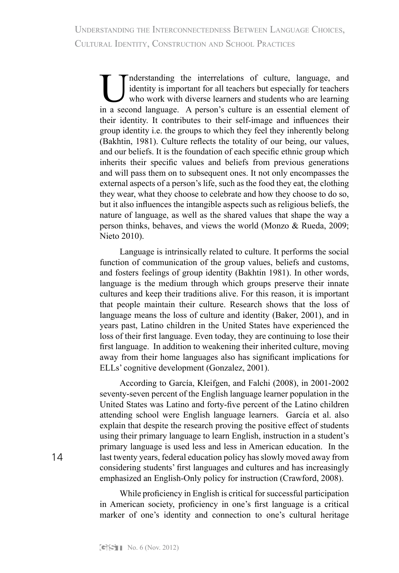Inderstanding the interrelations of culture, language, and identity is important for all teachers but especially for teachers who work with diverse learners and students who are learning in a second language. A person's cu identity is important for all teachers but especially for teachers who work with diverse learners and students who are learning in a second language. A person's culture is an essential element of their identity. It contributes to their self-image and influences their group identity i.e. the groups to which they feel they inherently belong (Bakhtin, 1981). Culture reflects the totality of our being, our values, and our beliefs. It is the foundation of each specific ethnic group which inherits their specific values and beliefs from previous generations and will pass them on to subsequent ones. It not only encompasses the external aspects of a person's life, such as the food they eat, the clothing they wear, what they choose to celebrate and how they choose to do so, but it also influences the intangible aspects such as religious beliefs, the nature of language, as well as the shared values that shape the way a person thinks, behaves, and views the world (Monzo & Rueda, 2009; Nieto 2010).

Language is intrinsically related to culture. It performs the social function of communication of the group values, beliefs and customs, and fosters feelings of group identity (Bakhtin 1981). In other words, language is the medium through which groups preserve their innate cultures and keep their traditions alive. For this reason, it is important that people maintain their culture. Research shows that the loss of language means the loss of culture and identity (Baker, 2001), and in years past, Latino children in the United States have experienced the loss of their first language. Even today, they are continuing to lose their first language. In addition to weakening their inherited culture, moving away from their home languages also has significant implications for ELLs' cognitive development (Gonzalez, 2001).

According to García, Kleifgen, and Falchi (2008), in 2001-2002 seventy-seven percent of the English language learner population in the United States was Latino and forty-five percent of the Latino children attending school were English language learners. García et al. also explain that despite the research proving the positive effect of students using their primary language to learn English, instruction in a student's primary language is used less and less in American education. In the last twenty years, federal education policy has slowly moved away from considering students' first languages and cultures and has increasingly emphasized an English-Only policy for instruction (Crawford, 2008).

While proficiency in English is critical for successful participation in American society, proficiency in one's first language is a critical marker of one's identity and connection to one's cultural heritage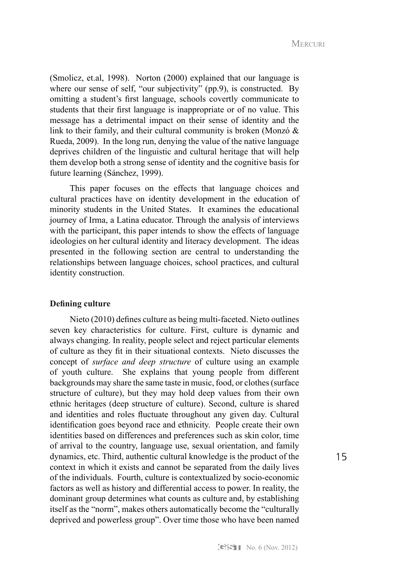Cultural Identity, Construction and School Practices Mercuri

(Smolicz, et.al, 1998). Norton (2000) explained that our language is where our sense of self, "our subjectivity" (pp.9), is constructed. By omitting a student's first language, schools covertly communicate to students that their first language is inappropriate or of no value. This message has a detrimental impact on their sense of identity and the link to their family, and their cultural community is broken (Monzó & Rueda, 2009). In the long run, denying the value of the native language deprives children of the linguistic and cultural heritage that will help them develop both a strong sense of identity and the cognitive basis for future learning (Sánchez, 1999).

This paper focuses on the effects that language choices and cultural practices have on identity development in the education of minority students in the United States. It examines the educational journey of Irma, a Latina educator. Through the analysis of interviews with the participant, this paper intends to show the effects of language ideologies on her cultural identity and literacy development. The ideas presented in the following section are central to understanding the relationships between language choices, school practices, and cultural identity construction.

#### **Defining culture**

Nieto (2010) defines culture as being multi-faceted. Nieto outlines seven key characteristics for culture. First, culture is dynamic and always changing. In reality, people select and reject particular elements of culture as they fit in their situational contexts. Nieto discusses the concept of *surface and deep structure* of culture using an example of youth culture. She explains that young people from different backgrounds may share the same taste in music, food, or clothes (surface structure of culture), but they may hold deep values from their own ethnic heritages (deep structure of culture). Second, culture is shared and identities and roles fluctuate throughout any given day. Cultural identification goes beyond race and ethnicity. People create their own identities based on differences and preferences such as skin color, time of arrival to the country, language use, sexual orientation, and family dynamics, etc. Third, authentic cultural knowledge is the product of the context in which it exists and cannot be separated from the daily lives of the individuals. Fourth, culture is contextualized by socio-economic factors as well as history and differential access to power. In reality, the dominant group determines what counts as culture and, by establishing itself as the "norm", makes others automatically become the "culturally deprived and powerless group". Over time those who have been named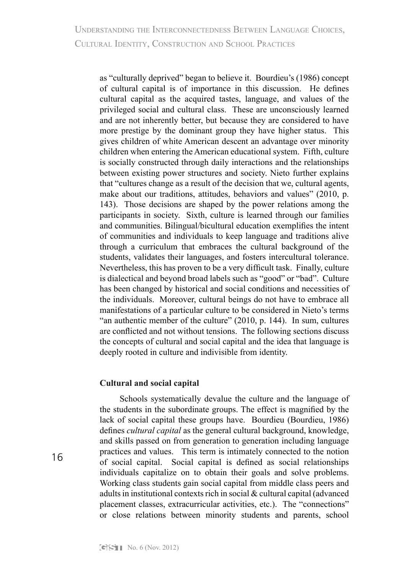as "culturally deprived" began to believe it. Bourdieu's (1986) concept of cultural capital is of importance in this discussion. He defines cultural capital as the acquired tastes, language, and values of the privileged social and cultural class. These are unconsciously learned and are not inherently better, but because they are considered to have more prestige by the dominant group they have higher status. This gives children of white American descent an advantage over minority children when entering the American educational system. Fifth, culture is socially constructed through daily interactions and the relationships between existing power structures and society. Nieto further explains that "cultures change as a result of the decision that we, cultural agents, make about our traditions, attitudes, behaviors and values" (2010, p. 143). Those decisions are shaped by the power relations among the participants in society. Sixth, culture is learned through our families and communities. Bilingual/bicultural education exemplifies the intent of communities and individuals to keep language and traditions alive through a curriculum that embraces the cultural background of the students, validates their languages, and fosters intercultural tolerance. Nevertheless, this has proven to be a very difficult task. Finally, culture is dialectical and beyond broad labels such as "good" or "bad". Culture has been changed by historical and social conditions and necessities of the individuals. Moreover, cultural beings do not have to embrace all manifestations of a particular culture to be considered in Nieto's terms "an authentic member of the culture" (2010, p. 144). In sum, cultures are conflicted and not without tensions. The following sections discuss the concepts of cultural and social capital and the idea that language is deeply rooted in culture and indivisible from identity.

## **Cultural and social capital**

Schools systematically devalue the culture and the language of the students in the subordinate groups. The effect is magnified by the lack of social capital these groups have. Bourdieu (Bourdieu, 1986) defines *cultural capital* as the general cultural background, knowledge, and skills passed on from generation to generation including language practices and values. This term is intimately connected to the notion of social capital. Social capital is defined as social relationships individuals capitalize on to obtain their goals and solve problems. Working class students gain social capital from middle class peers and adults in institutional contexts rich in social & cultural capital (advanced placement classes, extracurricular activities, etc.). The "connections" or close relations between minority students and parents, school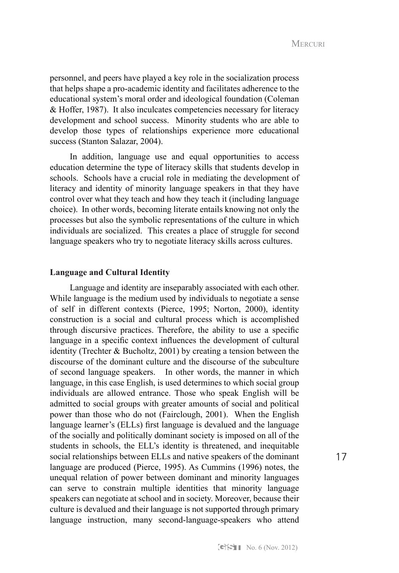personnel, and peers have played a key role in the socialization process that helps shape a pro-academic identity and facilitates adherence to the educational system's moral order and ideological foundation (Coleman & Hoffer, 1987). It also inculcates competencies necessary for literacy development and school success. Minority students who are able to develop those types of relationships experience more educational success (Stanton Salazar, 2004).

In addition, language use and equal opportunities to access education determine the type of literacy skills that students develop in schools. Schools have a crucial role in mediating the development of literacy and identity of minority language speakers in that they have control over what they teach and how they teach it (including language choice). In other words, becoming literate entails knowing not only the processes but also the symbolic representations of the culture in which individuals are socialized. This creates a place of struggle for second language speakers who try to negotiate literacy skills across cultures.

#### **Language and Cultural Identity**

Language and identity are inseparably associated with each other. While language is the medium used by individuals to negotiate a sense of self in different contexts (Pierce, 1995; Norton, 2000), identity construction is a social and cultural process which is accomplished through discursive practices. Therefore, the ability to use a specific language in a specific context influences the development of cultural identity (Trechter & Bucholtz, 2001) by creating a tension between the discourse of the dominant culture and the discourse of the subculture of second language speakers. In other words, the manner in which language, in this case English, is used determines to which social group individuals are allowed entrance. Those who speak English will be admitted to social groups with greater amounts of social and political power than those who do not (Fairclough, 2001). When the English language learner's (ELLs) first language is devalued and the language of the socially and politically dominant society is imposed on all of the students in schools, the ELL's identity is threatened, and inequitable social relationships between ELLs and native speakers of the dominant language are produced (Pierce, 1995). As Cummins (1996) notes, the unequal relation of power between dominant and minority languages can serve to constrain multiple identities that minority language speakers can negotiate at school and in society. Moreover, because their culture is devalued and their language is not supported through primary language instruction, many second-language-speakers who attend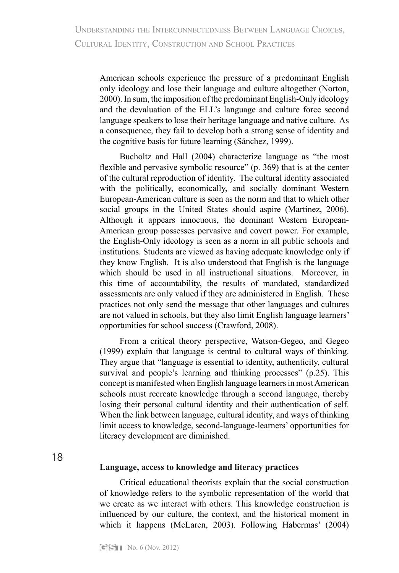American schools experience the pressure of a predominant English only ideology and lose their language and culture altogether (Norton, 2000). In sum, the imposition of the predominant English-Only ideology and the devaluation of the ELL's language and culture force second language speakers to lose their heritage language and native culture. As a consequence, they fail to develop both a strong sense of identity and the cognitive basis for future learning (Sánchez, 1999).

Bucholtz and Hall (2004) characterize language as "the most flexible and pervasive symbolic resource" (p. 369) that is at the center of the cultural reproduction of identity. The cultural identity associated with the politically, economically, and socially dominant Western European-American culture is seen as the norm and that to which other social groups in the United States should aspire (Martinez, 2006). Although it appears innocuous, the dominant Western European-American group possesses pervasive and covert power. For example, the English-Only ideology is seen as a norm in all public schools and institutions. Students are viewed as having adequate knowledge only if they know English. It is also understood that English is the language which should be used in all instructional situations. Moreover, in this time of accountability, the results of mandated, standardized assessments are only valued if they are administered in English. These practices not only send the message that other languages and cultures are not valued in schools, but they also limit English language learners' opportunities for school success (Crawford, 2008).

From a critical theory perspective, Watson-Gegeo, and Gegeo (1999) explain that language is central to cultural ways of thinking. They argue that "language is essential to identity, authenticity, cultural survival and people's learning and thinking processes" (p.25). This concept is manifested when English language learners in most American schools must recreate knowledge through a second language, thereby losing their personal cultural identity and their authentication of self. When the link between language, cultural identity, and ways of thinking limit access to knowledge, second-language-learners' opportunities for literacy development are diminished.

18

#### **Language, access to knowledge and literacy practices**

Critical educational theorists explain that the social construction of knowledge refers to the symbolic representation of the world that we create as we interact with others. This knowledge construction is influenced by our culture, the context, and the historical moment in which it happens (McLaren, 2003). Following Habermas' (2004)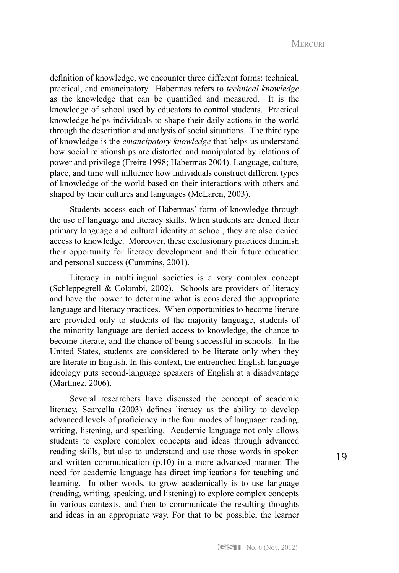definition of knowledge, we encounter three different forms: technical, practical, and emancipatory. Habermas refers to *technical knowledge* as the knowledge that can be quantified and measured. It is the knowledge of school used by educators to control students. Practical knowledge helps individuals to shape their daily actions in the world through the description and analysis of social situations. The third type of knowledge is the *emancipatory knowledge* that helps us understand how social relationships are distorted and manipulated by relations of power and privilege (Freire 1998; Habermas 2004). Language, culture, place, and time will influence how individuals construct different types of knowledge of the world based on their interactions with others and shaped by their cultures and languages (McLaren, 2003).

Students access each of Habermas' form of knowledge through the use of language and literacy skills. When students are denied their primary language and cultural identity at school, they are also denied access to knowledge. Moreover, these exclusionary practices diminish their opportunity for literacy development and their future education and personal success (Cummins, 2001).

Literacy in multilingual societies is a very complex concept (Schleppegrell  $& Colombi, 2002$ ). Schools are providers of literacy and have the power to determine what is considered the appropriate language and literacy practices. When opportunities to become literate are provided only to students of the majority language, students of the minority language are denied access to knowledge, the chance to become literate, and the chance of being successful in schools. In the United States, students are considered to be literate only when they are literate in English. In this context, the entrenched English language ideology puts second-language speakers of English at a disadvantage (Martinez, 2006).

Several researchers have discussed the concept of academic literacy. Scarcella (2003) defines literacy as the ability to develop advanced levels of proficiency in the four modes of language: reading, writing, listening, and speaking. Academic language not only allows students to explore complex concepts and ideas through advanced reading skills, but also to understand and use those words in spoken and written communication (p.10) in a more advanced manner. The need for academic language has direct implications for teaching and learning. In other words, to grow academically is to use language (reading, writing, speaking, and listening) to explore complex concepts in various contexts, and then to communicate the resulting thoughts and ideas in an appropriate way. For that to be possible, the learner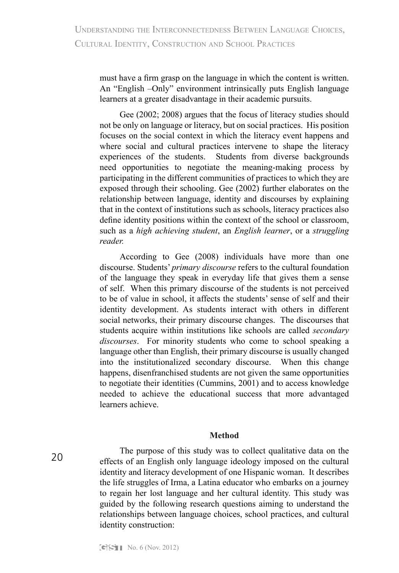must have a firm grasp on the language in which the content is written. An "English –Only" environment intrinsically puts English language learners at a greater disadvantage in their academic pursuits.

Gee (2002; 2008) argues that the focus of literacy studies should not be only on language or literacy, but on social practices. His position focuses on the social context in which the literacy event happens and where social and cultural practices intervene to shape the literacy experiences of the students. Students from diverse backgrounds need opportunities to negotiate the meaning-making process by participating in the different communities of practices to which they are exposed through their schooling. Gee (2002) further elaborates on the relationship between language, identity and discourses by explaining that in the context of institutions such as schools, literacy practices also define identity positions within the context of the school or classroom, such as a *high achieving student*, an *English learner*, or a *struggling reader.*

According to Gee (2008) individuals have more than one discourse. Students' *primary discourse* refers to the cultural foundation of the language they speak in everyday life that gives them a sense of self. When this primary discourse of the students is not perceived to be of value in school, it affects the students' sense of self and their identity development. As students interact with others in different social networks, their primary discourse changes. The discourses that students acquire within institutions like schools are called *secondary discourses*. For minority students who come to school speaking a language other than English, their primary discourse is usually changed into the institutionalized secondary discourse. When this change happens, disenfranchised students are not given the same opportunities to negotiate their identities (Cummins, 2001) and to access knowledge needed to achieve the educational success that more advantaged learners achieve.

#### **Method**

20

The purpose of this study was to collect qualitative data on the effects of an English only language ideology imposed on the cultural identity and literacy development of one Hispanic woman. It describes the life struggles of Irma, a Latina educator who embarks on a journey to regain her lost language and her cultural identity. This study was guided by the following research questions aiming to understand the relationships between language choices, school practices, and cultural identity construction: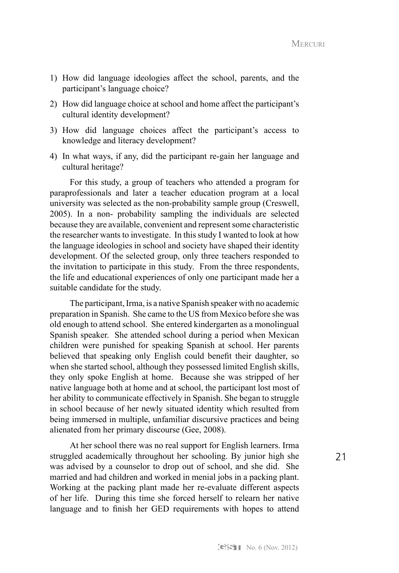- 1) How did language ideologies affect the school, parents, and the participant's language choice?
- 2) How did language choice at school and home affect the participant's cultural identity development?
- 3) How did language choices affect the participant's access to knowledge and literacy development?
- 4) In what ways, if any, did the participant re-gain her language and cultural heritage?

For this study, a group of teachers who attended a program for paraprofessionals and later a teacher education program at a local university was selected as the non-probability sample group (Creswell, 2005). In a non- probability sampling the individuals are selected because they are available, convenient and represent some characteristic the researcher wants to investigate. In this study I wanted to look at how the language ideologies in school and society have shaped their identity development. Of the selected group, only three teachers responded to the invitation to participate in this study. From the three respondents, the life and educational experiences of only one participant made her a suitable candidate for the study.

The participant, Irma, is a native Spanish speaker with no academic preparation in Spanish. She came to the US from Mexico before she was old enough to attend school. She entered kindergarten as a monolingual Spanish speaker. She attended school during a period when Mexican children were punished for speaking Spanish at school. Her parents believed that speaking only English could benefit their daughter, so when she started school, although they possessed limited English skills, they only spoke English at home. Because she was stripped of her native language both at home and at school, the participant lost most of her ability to communicate effectively in Spanish. She began to struggle in school because of her newly situated identity which resulted from being immersed in multiple, unfamiliar discursive practices and being alienated from her primary discourse (Gee, 2008).

At her school there was no real support for English learners. Irma struggled academically throughout her schooling. By junior high she was advised by a counselor to drop out of school, and she did. She married and had children and worked in menial jobs in a packing plant. Working at the packing plant made her re-evaluate different aspects of her life. During this time she forced herself to relearn her native language and to finish her GED requirements with hopes to attend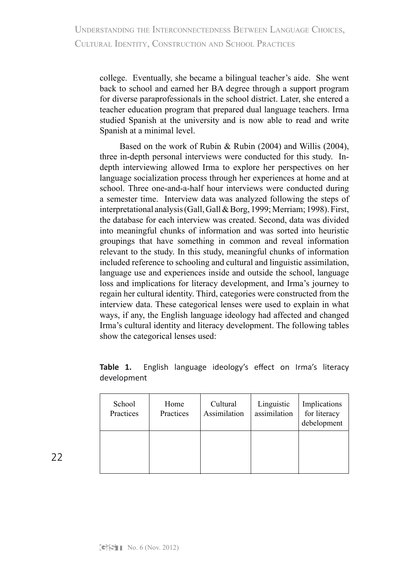college. Eventually, she became a bilingual teacher's aide. She went back to school and earned her BA degree through a support program for diverse paraprofessionals in the school district. Later, she entered a teacher education program that prepared dual language teachers. Irma studied Spanish at the university and is now able to read and write Spanish at a minimal level.

Based on the work of Rubin & Rubin (2004) and Willis (2004), three in-depth personal interviews were conducted for this study. Indepth interviewing allowed Irma to explore her perspectives on her language socialization process through her experiences at home and at school. Three one-and-a-half hour interviews were conducted during a semester time. Interview data was analyzed following the steps of interpretational analysis (Gall, Gall & Borg, 1999; Merriam; 1998). First, the database for each interview was created. Second, data was divided into meaningful chunks of information and was sorted into heuristic groupings that have something in common and reveal information relevant to the study. In this study, meaningful chunks of information included reference to schooling and cultural and linguistic assimilation, language use and experiences inside and outside the school, language loss and implications for literacy development, and Irma's journey to regain her cultural identity. Third, categories were constructed from the interview data. These categorical lenses were used to explain in what ways, if any, the English language ideology had affected and changed Irma's cultural identity and literacy development. The following tables show the categorical lenses used:

**Table 1.** English language ideology's effect on Irma's literacy development

| School<br>Practices | Home<br>Practices | Cultural<br>Assimilation | Linguistic<br>assimilation | Implications<br>for literacy<br>debelopment |
|---------------------|-------------------|--------------------------|----------------------------|---------------------------------------------|
|                     |                   |                          |                            |                                             |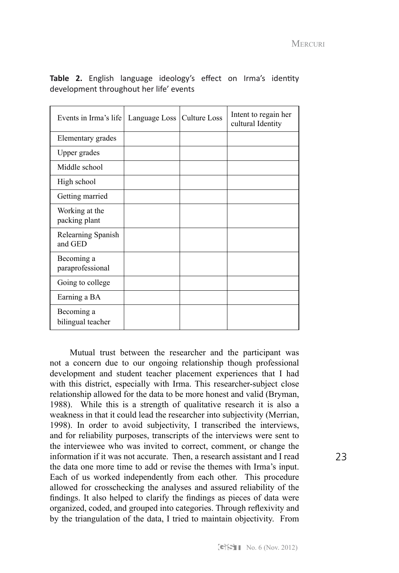| Events in Irma's life           | Language Loss   Culture Loss | Intent to regain her<br>cultural Identity |
|---------------------------------|------------------------------|-------------------------------------------|
| Elementary grades               |                              |                                           |
| Upper grades                    |                              |                                           |
| Middle school                   |                              |                                           |
| High school                     |                              |                                           |
| Getting married                 |                              |                                           |
| Working at the<br>packing plant |                              |                                           |
| Relearning Spanish<br>and GED   |                              |                                           |
| Becoming a<br>paraprofessional  |                              |                                           |
| Going to college                |                              |                                           |
| Earning a BA                    |                              |                                           |
| Becoming a<br>bilingual teacher |                              |                                           |

**Table 2.** English language ideology's effect on Irma's identity development throughout her life' events

Mutual trust between the researcher and the participant was not a concern due to our ongoing relationship though professional development and student teacher placement experiences that I had with this district, especially with Irma. This researcher-subject close relationship allowed for the data to be more honest and valid (Bryman, 1988). While this is a strength of qualitative research it is also a weakness in that it could lead the researcher into subjectivity (Merrian, 1998). In order to avoid subjectivity, I transcribed the interviews, and for reliability purposes, transcripts of the interviews were sent to the interviewee who was invited to correct, comment, or change the information if it was not accurate. Then, a research assistant and I read the data one more time to add or revise the themes with Irma's input. Each of us worked independently from each other. This procedure allowed for crosschecking the analyses and assured reliability of the findings. It also helped to clarify the findings as pieces of data were organized, coded, and grouped into categories. Through reflexivity and by the triangulation of the data, I tried to maintain objectivity. From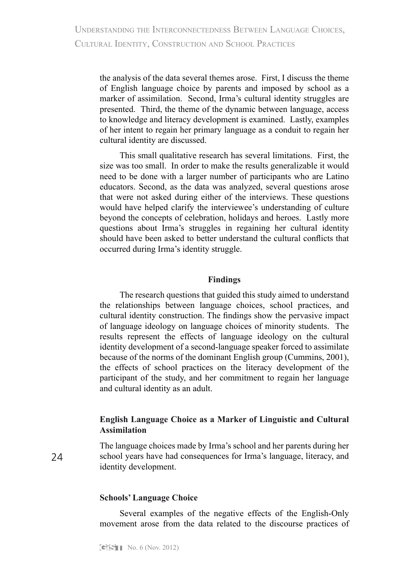the analysis of the data several themes arose. First, I discuss the theme of English language choice by parents and imposed by school as a marker of assimilation. Second, Irma's cultural identity struggles are presented. Third, the theme of the dynamic between language, access to knowledge and literacy development is examined. Lastly, examples of her intent to regain her primary language as a conduit to regain her cultural identity are discussed.

This small qualitative research has several limitations. First, the size was too small. In order to make the results generalizable it would need to be done with a larger number of participants who are Latino educators. Second, as the data was analyzed, several questions arose that were not asked during either of the interviews. These questions would have helped clarify the interviewee's understanding of culture beyond the concepts of celebration, holidays and heroes. Lastly more questions about Irma's struggles in regaining her cultural identity should have been asked to better understand the cultural conflicts that occurred during Irma's identity struggle.

#### **Findings**

The research questions that guided this study aimed to understand the relationships between language choices, school practices, and cultural identity construction. The findings show the pervasive impact of language ideology on language choices of minority students. The results represent the effects of language ideology on the cultural identity development of a second-language speaker forced to assimilate because of the norms of the dominant English group (Cummins, 2001), the effects of school practices on the literacy development of the participant of the study, and her commitment to regain her language and cultural identity as an adult.

## **English Language Choice as a Marker of Linguistic and Cultural Assimilation**

The language choices made by Irma's school and her parents during her school years have had consequences for Irma's language, literacy, and identity development.

## **Schools' Language Choice**

Several examples of the negative effects of the English-Only movement arose from the data related to the discourse practices of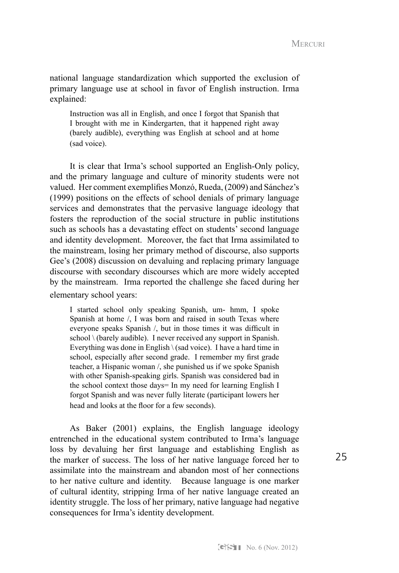national language standardization which supported the exclusion of primary language use at school in favor of English instruction. Irma explained:

Instruction was all in English, and once I forgot that Spanish that I brought with me in Kindergarten, that it happened right away (barely audible), everything was English at school and at home (sad voice).

It is clear that Irma's school supported an English-Only policy, and the primary language and culture of minority students were not valued. Her comment exemplifies Monzó, Rueda, (2009) and Sánchez's (1999) positions on the effects of school denials of primary language services and demonstrates that the pervasive language ideology that fosters the reproduction of the social structure in public institutions such as schools has a devastating effect on students' second language and identity development. Moreover, the fact that Irma assimilated to the mainstream, losing her primary method of discourse, also supports Gee's (2008) discussion on devaluing and replacing primary language discourse with secondary discourses which are more widely accepted by the mainstream. Irma reported the challenge she faced during her elementary school years:

I started school only speaking Spanish, um- hmm, I spoke Spanish at home /, I was born and raised in south Texas where everyone speaks Spanish /, but in those times it was difficult in school \ (barely audible). I never received any support in Spanish. Everything was done in English \ (sad voice). I have a hard time in school, especially after second grade. I remember my first grade teacher, a Hispanic woman /, she punished us if we spoke Spanish with other Spanish-speaking girls. Spanish was considered bad in the school context those days= In my need for learning English I forgot Spanish and was never fully literate (participant lowers her head and looks at the floor for a few seconds).

As Baker (2001) explains, the English language ideology entrenched in the educational system contributed to Irma's language loss by devaluing her first language and establishing English as the marker of success. The loss of her native language forced her to assimilate into the mainstream and abandon most of her connections to her native culture and identity. Because language is one marker of cultural identity, stripping Irma of her native language created an identity struggle. The loss of her primary, native language had negative consequences for Irma's identity development.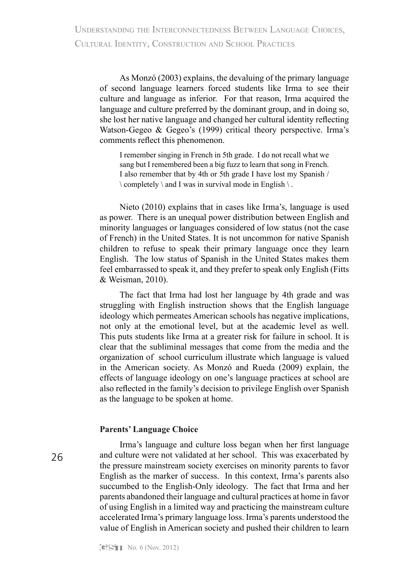As Monzó (2003) explains, the devaluing of the primary language of second language learners forced students like Irma to see their culture and language as inferior. For that reason, Irma acquired the language and culture preferred by the dominant group, and in doing so, she lost her native language and changed her cultural identity reflecting Watson-Gegeo & Gegeo's (1999) critical theory perspective. Irma's comments reflect this phenomenon.

I remember singing in French in 5th grade. I do not recall what we sang but I remembered been a big fuzz to learn that song in French. I also remember that by 4th or 5th grade I have lost my Spanish /  $\setminus$  completely  $\setminus$  and I was in survival mode in English  $\setminus$ .

Nieto (2010) explains that in cases like Irma's, language is used as power. There is an unequal power distribution between English and minority languages or languages considered of low status (not the case of French) in the United States. It is not uncommon for native Spanish children to refuse to speak their primary language once they learn English. The low status of Spanish in the United States makes them feel embarrassed to speak it, and they prefer to speak only English (Fitts & Weisman, 2010).

The fact that Irma had lost her language by 4th grade and was struggling with English instruction shows that the English language ideology which permeates American schools has negative implications, not only at the emotional level, but at the academic level as well. This puts students like Irma at a greater risk for failure in school. It is clear that the subliminal messages that come from the media and the organization of school curriculum illustrate which language is valued in the American society. As Monzó and Rueda (2009) explain, the effects of language ideology on one's language practices at school are also reflected in the family's decision to privilege English over Spanish as the language to be spoken at home.

## **Parents' Language Choice**

26

Irma's language and culture loss began when her first language and culture were not validated at her school. This was exacerbated by the pressure mainstream society exercises on minority parents to favor English as the marker of success. In this context, Irma's parents also succumbed to the English-Only ideology. The fact that Irma and her parents abandoned their language and cultural practices at home in favor of using English in a limited way and practicing the mainstream culture accelerated Irma's primary language loss. Irma's parents understood the value of English in American society and pushed their children to learn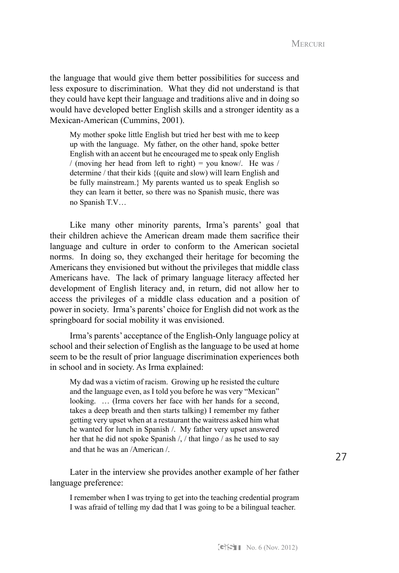the language that would give them better possibilities for success and less exposure to discrimination. What they did not understand is that they could have kept their language and traditions alive and in doing so would have developed better English skills and a stronger identity as a Mexican-American (Cummins, 2001).

My mother spoke little English but tried her best with me to keep up with the language. My father, on the other hand, spoke better English with an accent but he encouraged me to speak only English / (moving her head from left to right) = you know/. He was / determine / that their kids {(quite and slow) will learn English and be fully mainstream.} My parents wanted us to speak English so they can learn it better, so there was no Spanish music, there was no Spanish T.V…

Like many other minority parents, Irma's parents' goal that their children achieve the American dream made them sacrifice their language and culture in order to conform to the American societal norms. In doing so, they exchanged their heritage for becoming the Americans they envisioned but without the privileges that middle class Americans have. The lack of primary language literacy affected her development of English literacy and, in return, did not allow her to access the privileges of a middle class education and a position of power in society. Irma's parents' choice for English did not work as the springboard for social mobility it was envisioned.

Irma's parents' acceptance of the English-Only language policy at school and their selection of English as the language to be used at home seem to be the result of prior language discrimination experiences both in school and in society. As Irma explained:

My dad was a victim of racism. Growing up he resisted the culture and the language even, as I told you before he was very "Mexican" looking. … (Irma covers her face with her hands for a second, takes a deep breath and then starts talking) I remember my father getting very upset when at a restaurant the waitress asked him what he wanted for lunch in Spanish /. My father very upset answered her that he did not spoke Spanish /, / that lingo / as he used to say and that he was an /American /.

Later in the interview she provides another example of her father language preference:

I remember when I was trying to get into the teaching credential program I was afraid of telling my dad that I was going to be a bilingual teacher.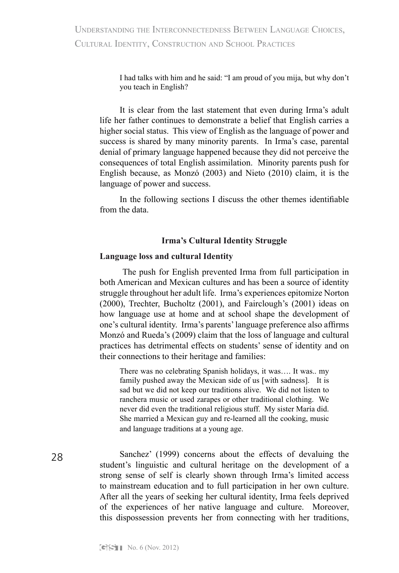I had talks with him and he said: "I am proud of you mija, but why don't you teach in English?

It is clear from the last statement that even during Irma's adult life her father continues to demonstrate a belief that English carries a higher social status. This view of English as the language of power and success is shared by many minority parents. In Irma's case, parental denial of primary language happened because they did not perceive the consequences of total English assimilation. Minority parents push for English because, as Monzó (2003) and Nieto (2010) claim, it is the language of power and success.

In the following sections I discuss the other themes identifiable from the data.

## **Irma's Cultural Identity Struggle**

## **Language loss and cultural Identity**

 The push for English prevented Irma from full participation in both American and Mexican cultures and has been a source of identity struggle throughout her adult life. Irma's experiences epitomize Norton (2000), Trechter, Bucholtz (2001), and Fairclough's (2001) ideas on how language use at home and at school shape the development of one's cultural identity. Irma's parents' language preference also affirms Monzó and Rueda's (2009) claim that the loss of language and cultural practices has detrimental effects on students' sense of identity and on their connections to their heritage and families:

There was no celebrating Spanish holidays, it was…. It was.. my family pushed away the Mexican side of us [with sadness]. It is sad but we did not keep our traditions alive. We did not listen to ranchera music or used zarapes or other traditional clothing. We never did even the traditional religious stuff. My sister María did. She married a Mexican guy and re-learned all the cooking, music and language traditions at a young age.

Sanchez' (1999) concerns about the effects of devaluing the student's linguistic and cultural heritage on the development of a strong sense of self is clearly shown through Irma's limited access to mainstream education and to full participation in her own culture. After all the years of seeking her cultural identity, Irma feels deprived of the experiences of her native language and culture. Moreover, this dispossession prevents her from connecting with her traditions,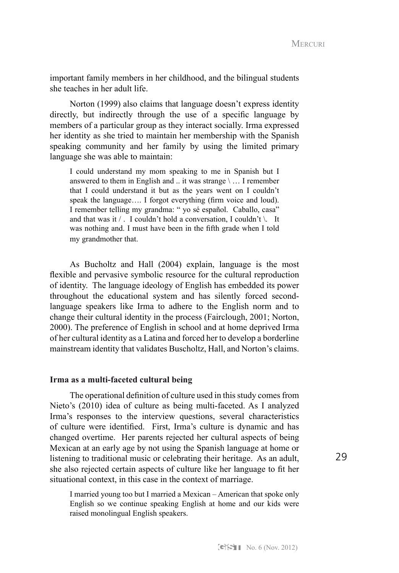important family members in her childhood, and the bilingual students she teaches in her adult life.

Norton (1999) also claims that language doesn't express identity directly, but indirectly through the use of a specific language by members of a particular group as they interact socially. Irma expressed her identity as she tried to maintain her membership with the Spanish speaking community and her family by using the limited primary language she was able to maintain:

I could understand my mom speaking to me in Spanish but I answered to them in English and  $\ldots$  it was strange  $\langle \ldots \rangle$  I remember that I could understand it but as the years went on I couldn't speak the language.... I forgot everything (firm voice and loud). I remember telling my grandma: " yo sé español. Caballo, casa" and that was it  $/$ . I couldn't hold a conversation, I couldn't  $\setminus$ . It was nothing and. I must have been in the fifth grade when I told my grandmother that.

As Bucholtz and Hall (2004) explain, language is the most flexible and pervasive symbolic resource for the cultural reproduction of identity. The language ideology of English has embedded its power throughout the educational system and has silently forced secondlanguage speakers like Irma to adhere to the English norm and to change their cultural identity in the process (Fairclough, 2001; Norton, 2000). The preference of English in school and at home deprived Irma of her cultural identity as a Latina and forced her to develop a borderline mainstream identity that validates Buscholtz, Hall, and Norton's claims.

#### **Irma as a multi-faceted cultural being**

The operational definition of culture used in this study comes from Nieto's (2010) idea of culture as being multi-faceted. As I analyzed Irma's responses to the interview questions, several characteristics of culture were identified. First, Irma's culture is dynamic and has changed overtime. Her parents rejected her cultural aspects of being Mexican at an early age by not using the Spanish language at home or listening to traditional music or celebrating their heritage. As an adult, she also rejected certain aspects of culture like her language to fit her situational context, in this case in the context of marriage.

I married young too but I married a Mexican – American that spoke only English so we continue speaking English at home and our kids were raised monolingual English speakers.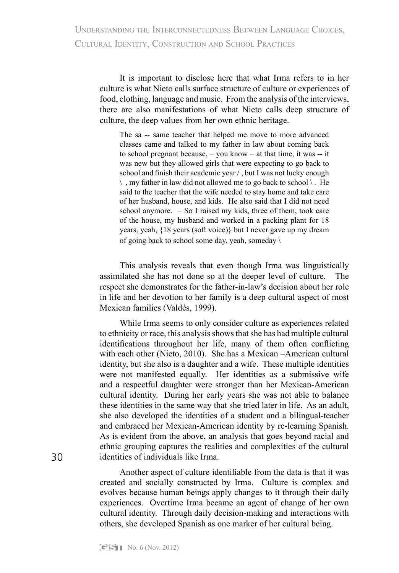It is important to disclose here that what Irma refers to in her culture is what Nieto calls surface structure of culture or experiences of food, clothing, language and music. From the analysis of the interviews, there are also manifestations of what Nieto calls deep structure of culture, the deep values from her own ethnic heritage.

The sa -- same teacher that helped me move to more advanced classes came and talked to my father in law about coming back to school pregnant because,  $=$  you know  $=$  at that time, it was  $-$  it was new but they allowed girls that were expecting to go back to school and finish their academic year / , but I was not lucky enough  $\langle$ , my father in law did not allowed me to go back to school  $\langle$ . He said to the teacher that the wife needed to stay home and take care of her husband, house, and kids. He also said that I did not need school anymore.  $=$  So I raised my kids, three of them, took care of the house, my husband and worked in a packing plant for 18 years, yeah, {18 years (soft voice)} but I never gave up my dream of going back to school some day, yeah, someday  $\setminus$ 

This analysis reveals that even though Irma was linguistically assimilated she has not done so at the deeper level of culture. The respect she demonstrates for the father-in-law's decision about her role in life and her devotion to her family is a deep cultural aspect of most Mexican families (Valdés, 1999).

While Irma seems to only consider culture as experiences related to ethnicity or race, this analysis shows that she has had multiple cultural identifications throughout her life, many of them often conflicting with each other (Nieto, 2010). She has a Mexican –American cultural identity, but she also is a daughter and a wife. These multiple identities were not manifested equally. Her identities as a submissive wife and a respectful daughter were stronger than her Mexican-American cultural identity. During her early years she was not able to balance these identities in the same way that she tried later in life. As an adult, she also developed the identities of a student and a bilingual-teacher and embraced her Mexican-American identity by re-learning Spanish. As is evident from the above, an analysis that goes beyond racial and ethnic grouping captures the realities and complexities of the cultural identities of individuals like Irma.

Another aspect of culture identifiable from the data is that it was created and socially constructed by Irma. Culture is complex and evolves because human beings apply changes to it through their daily experiences. Overtime Irma became an agent of change of her own cultural identity. Through daily decision-making and interactions with others, she developed Spanish as one marker of her cultural being.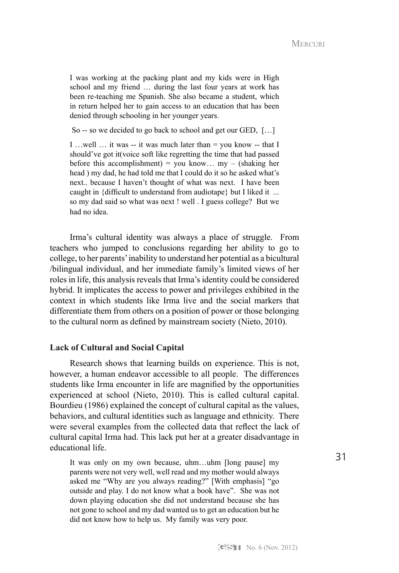I was working at the packing plant and my kids were in High school and my friend … during the last four years at work has been re-teaching me Spanish. She also became a student, which in return helped her to gain access to an education that has been denied through schooling in her younger years.

So -- so we decided to go back to school and get our GED, […]

I ... well ... it was -- it was much later than  $=$  you know -- that I should've got it(voice soft like regretting the time that had passed before this accomplishment) = you know...  $mv - (shaking her)$ head ) my dad, he had told me that I could do it so he asked what's next.. because I haven't thought of what was next. I have been caught in {difficult to understand from audiotape} but I liked it ... so my dad said so what was next ! well . I guess college? But we had no idea.

Irma's cultural identity was always a place of struggle. From teachers who jumped to conclusions regarding her ability to go to college, to her parents' inability to understand her potential as a bicultural /bilingual individual, and her immediate family's limited views of her roles in life, this analysis reveals that Irma's identity could be considered hybrid. It implicates the access to power and privileges exhibited in the context in which students like Irma live and the social markers that differentiate them from others on a position of power or those belonging to the cultural norm as defined by mainstream society (Nieto, 2010).

#### **Lack of Cultural and Social Capital**

Research shows that learning builds on experience. This is not, however, a human endeavor accessible to all people. The differences students like Irma encounter in life are magnified by the opportunities experienced at school (Nieto, 2010). This is called cultural capital. Bourdieu (1986) explained the concept of cultural capital as the values, behaviors, and cultural identities such as language and ethnicity. There were several examples from the collected data that reflect the lack of cultural capital Irma had. This lack put her at a greater disadvantage in educational life.

It was only on my own because, uhm…uhm [long pause] my parents were not very well, well read and my mother would always asked me "Why are you always reading?" [With emphasis] "go outside and play. I do not know what a book have". She was not down playing education she did not understand because she has not gone to school and my dad wanted us to get an education but he did not know how to help us. My family was very poor.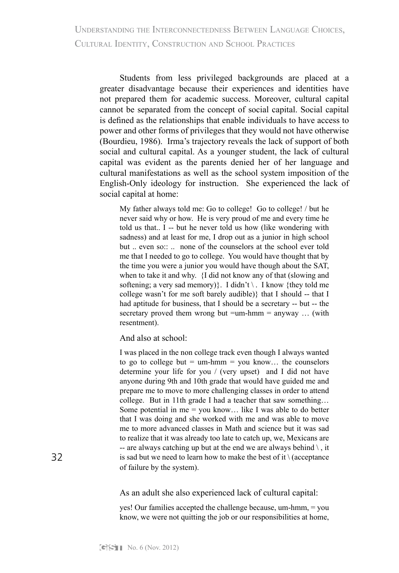Understanding the Interconnectedness Between Language Choices, CULTURAL IDENTITY, CONSTRUCTION AND SCHOOL PRACTICES

Students from less privileged backgrounds are placed at a greater disadvantage because their experiences and identities have not prepared them for academic success. Moreover, cultural capital cannot be separated from the concept of social capital. Social capital is defined as the relationships that enable individuals to have access to power and other forms of privileges that they would not have otherwise (Bourdieu, 1986). Irma's trajectory reveals the lack of support of both social and cultural capital. As a younger student, the lack of cultural capital was evident as the parents denied her of her language and cultural manifestations as well as the school system imposition of the English-Only ideology for instruction. She experienced the lack of social capital at home:

My father always told me: Go to college! Go to college! / but he never said why or how. He is very proud of me and every time he told us that.. I -- but he never told us how (like wondering with sadness) and at least for me, I drop out as a junior in high school but .. even so:: .. none of the counselors at the school ever told me that I needed to go to college. You would have thought that by the time you were a junior you would have though about the SAT, when to take it and why. {I did not know any of that (slowing and softening; a very sad memory). I didn't  $\langle$ . I know {they told me college wasn't for me soft barely audible)} that I should -- that I had aptitude for business, that I should be a secretary -- but -- the secretary proved them wrong but  $=$ um-hmm  $=$  anyway ... (with resentment).

And also at school:

I was placed in the non college track even though I always wanted to go to college but  $=$  um-hmm  $=$  you know... the counselors determine your life for you / (very upset) and I did not have anyone during 9th and 10th grade that would have guided me and prepare me to move to more challenging classes in order to attend college. But in 11th grade I had a teacher that saw something… Some potential in me  $=$  you know... like I was able to do better that I was doing and she worked with me and was able to move me to more advanced classes in Math and science but it was sad to realize that it was already too late to catch up, we, Mexicans are -- are always catching up but at the end we are always behind  $\setminus$ , it is sad but we need to learn how to make the best of it  $\setminus$  (acceptance of failure by the system).

As an adult she also experienced lack of cultural capital:

yes! Our families accepted the challenge because, um-hmm, = you know, we were not quitting the job or our responsibilities at home,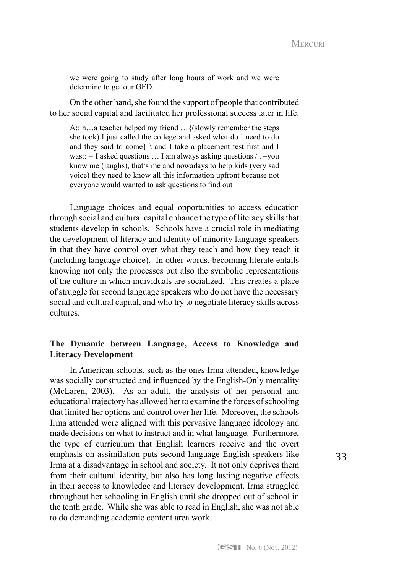we were going to study after long hours of work and we were determine to get our GED.

On the other hand, she found the support of people that contributed to her social capital and facilitated her professional success later in life.

A:::h…a teacher helped my friend ... {(slowly remember the steps she took) I just called the college and asked what do I need to do and they said to come}  $\$ and I take a placement test first and I was:: -- I asked questions  $\dots$  I am always asking questions  $\land$ , =you know me (laughs), that's me and nowadays to help kids (very sad voice) they need to know all this information upfront because not everyone would wanted to ask questions to find out

Language choices and equal opportunities to access education through social and cultural capital enhance the type of literacy skills that students develop in schools. Schools have a crucial role in mediating the development of literacy and identity of minority language speakers in that they have control over what they teach and how they teach it (including language choice). In other words, becoming literate entails knowing not only the processes but also the symbolic representations of the culture in which individuals are socialized. This creates a place of struggle for second language speakers who do not have the necessary social and cultural capital, and who try to negotiate literacy skills across cultures.

## **The Dynamic between Language, Access to Knowledge and Literacy Development**

In American schools, such as the ones Irma attended, knowledge was socially constructed and influenced by the English-Only mentality (McLaren, 2003). As an adult, the analysis of her personal and educational trajectory has allowed her to examine the forces of schooling that limited her options and control over her life. Moreover, the schools Irma attended were aligned with this pervasive language ideology and made decisions on what to instruct and in what language. Furthermore, the type of curriculum that English learners receive and the overt emphasis on assimilation puts second-language English speakers like Irma at a disadvantage in school and society. It not only deprives them from their cultural identity, but also has long lasting negative effects in their access to knowledge and literacy development. Irma struggled throughout her schooling in English until she dropped out of school in the tenth grade. While she was able to read in English, she was not able to do demanding academic content area work.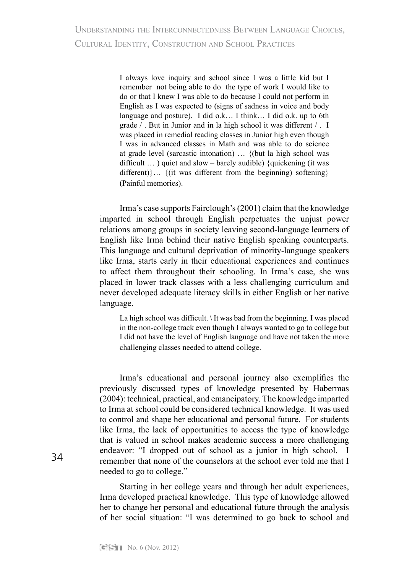I always love inquiry and school since I was a little kid but I remember not being able to do the type of work I would like to do or that I knew I was able to do because I could not perform in English as I was expected to (signs of sadness in voice and body language and posture). I did o.k… I think… I did o.k. up to 6th grade / . But in Junior and in la high school it was different / . I was placed in remedial reading classes in Junior high even though I was in advanced classes in Math and was able to do science at grade level (sarcastic intonation) … {(but la high school was difficult  $\ldots$ ) quiet and slow – barely audible) {quickening (it was different)}… {(it was different from the beginning) softening} (Painful memories).

Irma's case supports Fairclough's (2001) claim that the knowledge imparted in school through English perpetuates the unjust power relations among groups in society leaving second-language learners of English like Irma behind their native English speaking counterparts. This language and cultural deprivation of minority-language speakers like Irma, starts early in their educational experiences and continues to affect them throughout their schooling. In Irma's case, she was placed in lower track classes with a less challenging curriculum and never developed adequate literacy skills in either English or her native language.

La high school was difficult.  $\setminus$  It was bad from the beginning. I was placed in the non-college track even though I always wanted to go to college but I did not have the level of English language and have not taken the more challenging classes needed to attend college.

Irma's educational and personal journey also exemplifies the previously discussed types of knowledge presented by Habermas (2004): technical, practical, and emancipatory. The knowledge imparted to Irma at school could be considered technical knowledge. It was used to control and shape her educational and personal future. For students like Irma, the lack of opportunities to access the type of knowledge that is valued in school makes academic success a more challenging endeavor: "I dropped out of school as a junior in high school. I remember that none of the counselors at the school ever told me that I needed to go to college."

Starting in her college years and through her adult experiences, Irma developed practical knowledge. This type of knowledge allowed her to change her personal and educational future through the analysis of her social situation: "I was determined to go back to school and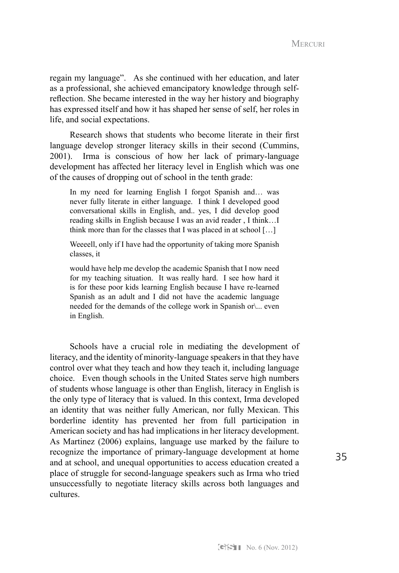regain my language". As she continued with her education, and later as a professional, she achieved emancipatory knowledge through selfreflection. She became interested in the way her history and biography has expressed itself and how it has shaped her sense of self, her roles in life, and social expectations.

Research shows that students who become literate in their first language develop stronger literacy skills in their second (Cummins, 2001). Irma is conscious of how her lack of primary-language development has affected her literacy level in English which was one of the causes of dropping out of school in the tenth grade:

In my need for learning English I forgot Spanish and… was never fully literate in either language. I think I developed good conversational skills in English, and.. yes, I did develop good reading skills in English because I was an avid reader , I think…I think more than for the classes that I was placed in at school […]

Weeeell, only if I have had the opportunity of taking more Spanish classes, it

would have help me develop the academic Spanish that I now need for my teaching situation. It was really hard. I see how hard it is for these poor kids learning English because I have re-learned Spanish as an adult and I did not have the academic language needed for the demands of the college work in Spanish or\... even in English.

Schools have a crucial role in mediating the development of literacy, and the identity of minority-language speakers in that they have control over what they teach and how they teach it, including language choice. Even though schools in the United States serve high numbers of students whose language is other than English, literacy in English is the only type of literacy that is valued. In this context, Irma developed an identity that was neither fully American, nor fully Mexican. This borderline identity has prevented her from full participation in American society and has had implications in her literacy development. As Martinez (2006) explains, language use marked by the failure to recognize the importance of primary-language development at home and at school, and unequal opportunities to access education created a place of struggle for second-language speakers such as Irma who tried unsuccessfully to negotiate literacy skills across both languages and cultures.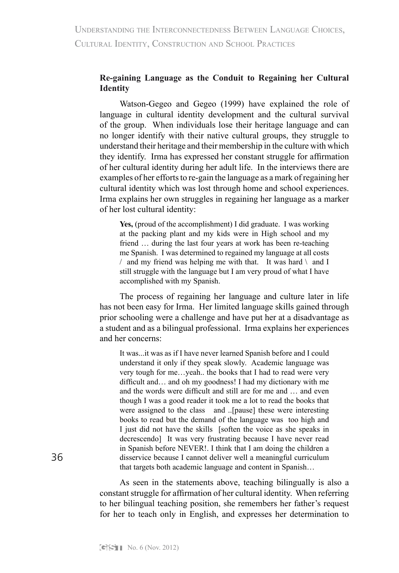## **Re-gaining Language as the Conduit to Regaining her Cultural Identity**

Watson-Gegeo and Gegeo (1999) have explained the role of language in cultural identity development and the cultural survival of the group. When individuals lose their heritage language and can no longer identify with their native cultural groups, they struggle to understand their heritage and their membership in the culture with which they identify. Irma has expressed her constant struggle for affirmation of her cultural identity during her adult life. In the interviews there are examples of her efforts to re-gain the language as a mark of regaining her cultural identity which was lost through home and school experiences. Irma explains her own struggles in regaining her language as a marker of her lost cultural identity:

**Yes,** (proud of the accomplishment) I did graduate. I was working at the packing plant and my kids were in High school and my friend … during the last four years at work has been re-teaching me Spanish. I was determined to regained my language at all costs  $/$  and my friend was helping me with that. It was hard  $\setminus$  and I still struggle with the language but I am very proud of what I have accomplished with my Spanish.

The process of regaining her language and culture later in life has not been easy for Irma. Her limited language skills gained through prior schooling were a challenge and have put her at a disadvantage as a student and as a bilingual professional. Irma explains her experiences and her concerns:

It was...it was as if I have never learned Spanish before and I could understand it only if they speak slowly. Academic language was very tough for me…yeah.. the books that I had to read were very difficult and… and oh my goodness! I had my dictionary with me and the words were difficult and still are for me and … and even though I was a good reader it took me a lot to read the books that were assigned to the class and ..[pause] these were interesting books to read but the demand of the language was too high and I just did not have the skills [soften the voice as she speaks in decrescendo] It was very frustrating because I have never read in Spanish before NEVER!. I think that I am doing the children a disservice because I cannot deliver well a meaningful curriculum that targets both academic language and content in Spanish…

As seen in the statements above, teaching bilingually is also a constant struggle for affirmation of her cultural identity. When referring to her bilingual teaching position, she remembers her father's request for her to teach only in English, and expresses her determination to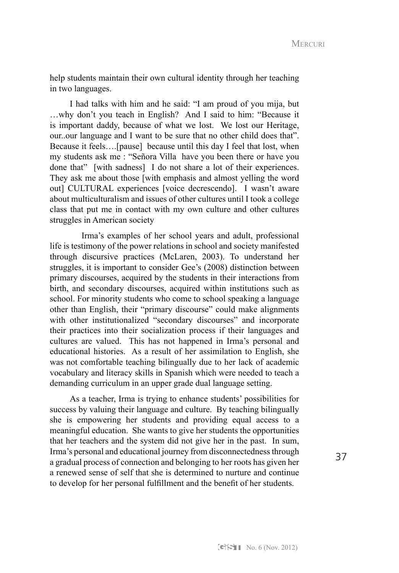help students maintain their own cultural identity through her teaching in two languages.

I had talks with him and he said: "I am proud of you mija, but …why don't you teach in English? And I said to him: "Because it is important daddy, because of what we lost. We lost our Heritage, our. our language and I want to be sure that no other child does that". Because it feels….[pause] because until this day I feel that lost, when my students ask me : "Señora Villa have you been there or have you done that" [with sadness] I do not share a lot of their experiences. They ask me about those [with emphasis and almost yelling the word out] CULTURAL experiences [voice decrescendo]. I wasn't aware about multiculturalism and issues of other cultures until I took a college class that put me in contact with my own culture and other cultures struggles in American society

Irma's examples of her school years and adult, professional life is testimony of the power relations in school and society manifested through discursive practices (McLaren, 2003). To understand her struggles, it is important to consider Gee's (2008) distinction between primary discourses, acquired by the students in their interactions from birth, and secondary discourses, acquired within institutions such as school. For minority students who come to school speaking a language other than English, their "primary discourse" could make alignments with other institutionalized "secondary discourses" and incorporate their practices into their socialization process if their languages and cultures are valued. This has not happened in Irma's personal and educational histories. As a result of her assimilation to English, she was not comfortable teaching bilingually due to her lack of academic vocabulary and literacy skills in Spanish which were needed to teach a demanding curriculum in an upper grade dual language setting.

As a teacher, Irma is trying to enhance students' possibilities for success by valuing their language and culture. By teaching bilingually she is empowering her students and providing equal access to a meaningful education. She wants to give her students the opportunities that her teachers and the system did not give her in the past. In sum, Irma's personal and educational journey from disconnectedness through a gradual process of connection and belonging to her roots has given her a renewed sense of self that she is determined to nurture and continue to develop for her personal fulfillment and the benefit of her students.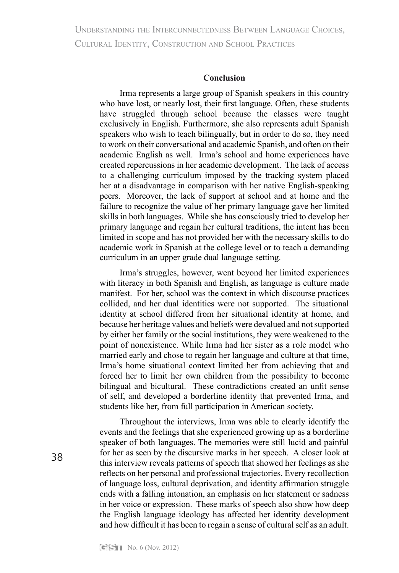Understanding the Interconnectedness Between Language Choices, CULTURAL IDENTITY, CONSTRUCTION AND SCHOOL PRACTICES

#### **Conclusion**

Irma represents a large group of Spanish speakers in this country who have lost, or nearly lost, their first language. Often, these students have struggled through school because the classes were taught exclusively in English. Furthermore, she also represents adult Spanish speakers who wish to teach bilingually, but in order to do so, they need to work on their conversational and academic Spanish, and often on their academic English as well. Irma's school and home experiences have created repercussions in her academic development. The lack of access to a challenging curriculum imposed by the tracking system placed her at a disadvantage in comparison with her native English-speaking peers. Moreover, the lack of support at school and at home and the failure to recognize the value of her primary language gave her limited skills in both languages. While she has consciously tried to develop her primary language and regain her cultural traditions, the intent has been limited in scope and has not provided her with the necessary skills to do academic work in Spanish at the college level or to teach a demanding curriculum in an upper grade dual language setting.

Irma's struggles, however, went beyond her limited experiences with literacy in both Spanish and English, as language is culture made manifest. For her, school was the context in which discourse practices collided, and her dual identities were not supported. The situational identity at school differed from her situational identity at home, and because her heritage values and beliefs were devalued and not supported by either her family or the social institutions, they were weakened to the point of nonexistence. While Irma had her sister as a role model who married early and chose to regain her language and culture at that time, Irma's home situational context limited her from achieving that and forced her to limit her own children from the possibility to become bilingual and bicultural. These contradictions created an unfit sense of self, and developed a borderline identity that prevented Irma, and students like her, from full participation in American society.

Throughout the interviews, Irma was able to clearly identify the events and the feelings that she experienced growing up as a borderline speaker of both languages. The memories were still lucid and painful for her as seen by the discursive marks in her speech. A closer look at this interview reveals patterns of speech that showed her feelings as she reflects on her personal and professional trajectories. Every recollection of language loss, cultural deprivation, and identity affirmation struggle ends with a falling intonation, an emphasis on her statement or sadness in her voice or expression. These marks of speech also show how deep the English language ideology has affected her identity development and how difficult it has been to regain a sense of cultural self as an adult.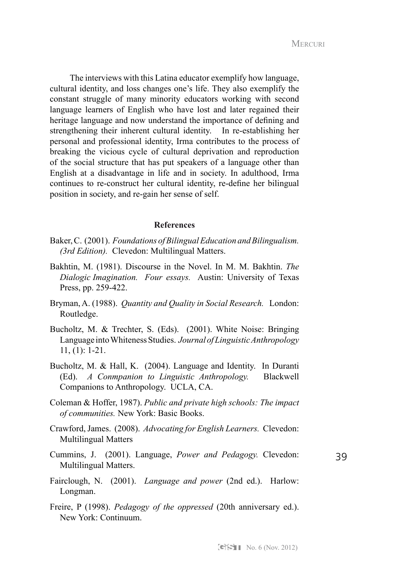The interviews with this Latina educator exemplify how language, cultural identity, and loss changes one's life. They also exemplify the constant struggle of many minority educators working with second language learners of English who have lost and later regained their heritage language and now understand the importance of defining and strengthening their inherent cultural identity. In re-establishing her personal and professional identity, Irma contributes to the process of breaking the vicious cycle of cultural deprivation and reproduction of the social structure that has put speakers of a language other than English at a disadvantage in life and in society. In adulthood, Irma continues to re-construct her cultural identity, re-define her bilingual position in society, and re-gain her sense of self.

#### **References**

- Baker, C. (2001). *Foundations of Bilingual Education and Bilingualism. (3rd Edition).* Clevedon: Multilingual Matters.
- Bakhtin, M. (1981). Discourse in the Novel. In M. M. Bakhtin. *The Dialogic Imagination. Four essays.* Austin: University of Texas Press, pp. 259-422.
- Bryman, A. (1988). *Quantity and Quality in Social Research.* London: Routledge.
- Bucholtz, M. & Trechter, S. (Eds). (2001). White Noise: Bringing Language into Whiteness Studies. *Journal of Linguistic Anthropology* 11, (1): 1-21.
- Bucholtz, M. & Hall, K. (2004). Language and Identity. In Duranti (Ed). *A Conmpanion to Linguistic Anthropology.* Blackwell Companions to Anthropology. UCLA, CA.
- Coleman & Hoffer, 1987). *Public and private high schools: The impact of communities.* New York: Basic Books.
- Crawford, James. (2008). *Advocating for English Learners.* Clevedon: Multilingual Matters
- Cummins, J. (2001). Language, *Power and Pedagogy.* Clevedon: Multilingual Matters.
- 39
- Fairclough, N. (2001). *Language and power* (2nd ed.). Harlow: Longman.
- Freire, P (1998). *Pedagogy of the oppressed* (20th anniversary ed.). New York: Continuum.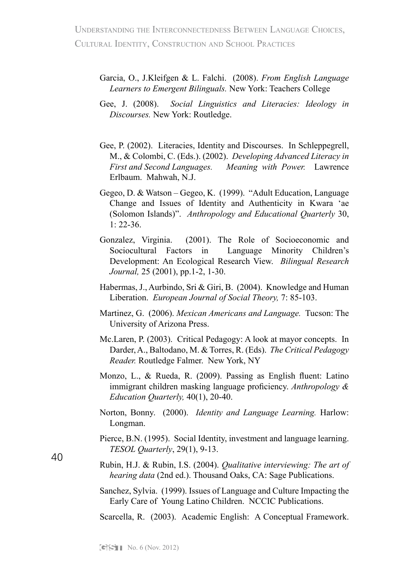Understanding the Interconnectedness Between Language Choices, CULTURAL IDENTITY, CONSTRUCTION AND SCHOOL PRACTICES

- Garcia, O., J.Kleifgen & L. Falchi. (2008). *From English Language Learners to Emergent Bilinguals.* New York: Teachers College
- Gee, J. (2008). *Social Linguistics and Literacies: Ideology in Discourses.* New York: Routledge.
- Gee, P. (2002). Literacies, Identity and Discourses. In Schleppegrell, M., & Colombi, C. (Eds.). (2002). *Developing Advanced Literacy in First and Second Languages. Meaning with Power.* Lawrence Erlbaum. Mahwah, N.J.
- Gegeo, D. & Watson Gegeo, K. (1999). "Adult Education, Language Change and Issues of Identity and Authenticity in Kwara 'ae (Solomon Islands)". *Anthropology and Educational Quarterly* 30,  $1: 22 - 36.$
- Gonzalez, Virginia. (2001). The Role of Socioeconomic and Sociocultural Factors in Language Minority Children's Development: An Ecological Research View. *Bilingual Research Journal,* 25 (2001), pp.1-2, 1-30.
- Habermas, J., Aurbindo, Sri & Giri, B. (2004). Knowledge and Human Liberation. *European Journal of Social Theory,* 7: 85-103.
- Martinez, G. (2006). *Mexican Americans and Language.* Tucson: The University of Arizona Press.
- Mc.Laren, P. (2003). Critical Pedagogy: A look at mayor concepts. In Darder, A., Baltodano, M. & Torres, R. (Eds). *The Critical Pedagogy Reader.* Routledge Falmer. New York, NY
- Monzo, L., & Rueda, R. (2009). Passing as English fluent: Latino immigrant children masking language proficiency. *Anthropology & Education Quarterly,* 40(1), 20-40.
- Norton, Bonny. (2000). *Identity and Language Learning.* Harlow: Longman.
- Pierce, B.N. (1995). Social Identity, investment and language learning. *TESOL Quarterly*, 29(1), 9-13.
- Rubin, H.J. & Rubin, I.S. (2004). *Qualitative interviewing: The art of hearing data* (2nd ed.). Thousand Oaks, CA: Sage Publications.
- Sanchez, Sylvia. (1999). Issues of Language and Culture Impacting the Early Care of Young Latino Children. NCCIC Publications.

Scarcella, R. (2003). Academic English: A Conceptual Framework.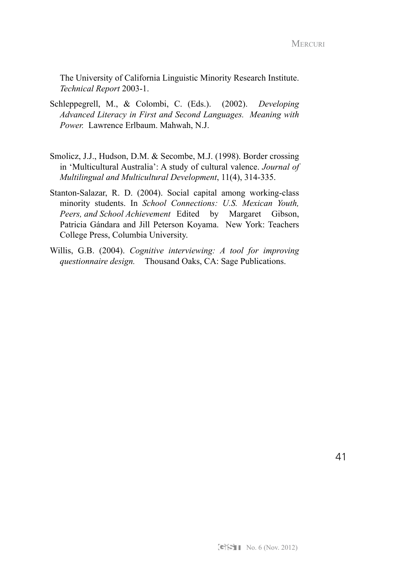The University of California Linguistic Minority Research Institute. *Technical Report* 2003-1.

- Schleppegrell, M., & Colombi, C. (Eds.). (2002). *Developing Advanced Literacy in First and Second Languages. Meaning with Power.* Lawrence Erlbaum. Mahwah, N.J.
- Smolicz, J.J., Hudson, D.M. & Secombe, M.J. (1998). Border crossing in 'Multicultural Australia': A study of cultural valence. *Journal of Multilingual and Multicultural Development*, 11(4), 314-335.
- Stanton-Salazar, R. D. (2004). Social capital among working-class minority students. In *School Connections: U.S. Mexican Youth, Peers, and School Achievement* Edited by Margaret Gibson, Patricia Gándara and Jill Peterson Koyama. New York: Teachers College Press, Columbia University.
- Willis, G.B. (2004). *Cognitive interviewing: A tool for improving questionnaire design.* Thousand Oaks, CA: Sage Publications.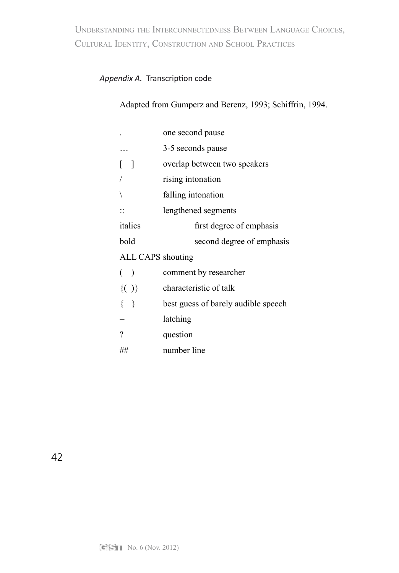Understanding the Interconnectedness Between Language Choices, CULTURAL IDENTITY, CONSTRUCTION AND SCHOOL PRACTICES

# *Appendix A.* Transcription code

# Adapted from Gumperz and Berenz, 1993; Schiffrin, 1994.

|                   | 3-5 seconds pause                   |  |  |  |
|-------------------|-------------------------------------|--|--|--|
|                   |                                     |  |  |  |
| - 1               | overlap between two speakers        |  |  |  |
|                   | rising intonation                   |  |  |  |
|                   | falling intonation                  |  |  |  |
|                   | lengthened segments                 |  |  |  |
| italics           | first degree of emphasis            |  |  |  |
| bold              | second degree of emphasis           |  |  |  |
| ALL CAPS shouting |                                     |  |  |  |
| $($ )             | comment by researcher               |  |  |  |
| ${()}$            | characteristic of talk              |  |  |  |
| $\{\quad\}$       | best guess of barely audible speech |  |  |  |
| $=$               | latching                            |  |  |  |
| ?                 | question                            |  |  |  |
|                   |                                     |  |  |  |
|                   |                                     |  |  |  |